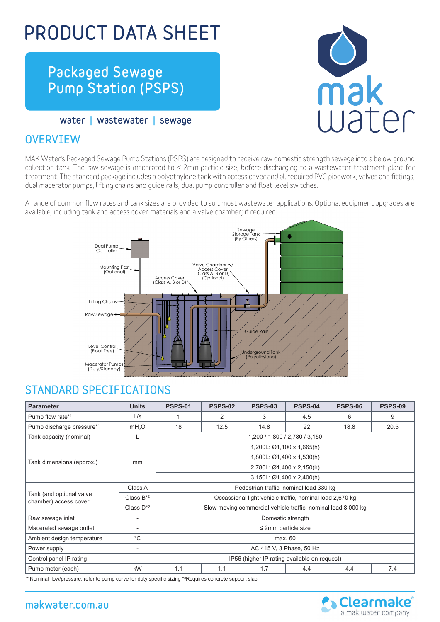# PRODUCT DATA SHEET

# Packaged Sewage Pump Station (PSPS)

mak

water | wastewater | sewage

#### **OVERVTEW**

MAK Water's Packaged Sewage Pump Stations (PSPS) are designed to receive raw domestic strength sewage into a below ground collection tank. The raw sewage is macerated to ≤ 2mm particle size, before discharging to a wastewater treatment plant for treatment. The standard package includes a polyethylene tank with access cover and all required PVC pipework, valves and fittings, dual macerator pumps, lifting chains and guide rails, dual pump controller and float level switches.

A range of common flow rates and tank sizes are provided to suit most wastewater applications. Optional equipment upgrades are available, including tank and access cover materials and a valve chamber; if required.



#### STANDARD SPECIFICATIONS

| <b>Parameter</b>                                  | <b>Units</b>             | <b>PSPS-01</b>                                                | <b>PSPS-02</b> | <b>PSPS-03</b> | <b>PSPS-04</b> | <b>PSPS-06</b> | <b>PSPS-09</b> |  |  |
|---------------------------------------------------|--------------------------|---------------------------------------------------------------|----------------|----------------|----------------|----------------|----------------|--|--|
| Pump flow rate*1                                  | L/s                      |                                                               | 2              | 3              | 4.5            | 6              | 9              |  |  |
| Pump discharge pressure*1                         | mH <sub>2</sub> O        | 18                                                            | 12.5           | 14.8           | 22             | 18.8           | 20.5           |  |  |
| Tank capacity (nominal)                           | L                        | 1,200 / 1,800 / 2,780 / 3,150                                 |                |                |                |                |                |  |  |
|                                                   |                          | 1,200L: Ø1,100 x 1,665(h)                                     |                |                |                |                |                |  |  |
|                                                   |                          | 1,800L: Ø1,400 x 1,530(h)                                     |                |                |                |                |                |  |  |
| Tank dimensions (approx.)                         | mm                       | 2,780L: Ø1,400 x 2,150(h)                                     |                |                |                |                |                |  |  |
|                                                   |                          | 3,150L: Ø1,400 x 2,400(h)                                     |                |                |                |                |                |  |  |
|                                                   | Class A                  | Pedestrian traffic, nominal load 330 kg                       |                |                |                |                |                |  |  |
| Tank (and optional valve<br>chamber) access cover | Class $B^*{}^2$          | Occassional light vehicle traffic, nominal load 2,670 kg      |                |                |                |                |                |  |  |
|                                                   | Class $D^*{}^2$          | Slow moving commercial vehicle traffic, nominal load 8,000 kg |                |                |                |                |                |  |  |
| Raw sewage inlet                                  | $\overline{\phantom{a}}$ | Domestic strength                                             |                |                |                |                |                |  |  |
| Macerated sewage outlet                           | $\overline{\phantom{a}}$ | $\leq$ 2mm particle size                                      |                |                |                |                |                |  |  |
| Ambient design temperature                        | $^{\circ}$ C             | max. 60                                                       |                |                |                |                |                |  |  |
| Power supply                                      |                          | AC 415 V, 3 Phase, 50 Hz                                      |                |                |                |                |                |  |  |
| Control panel IP rating                           | $\overline{\phantom{a}}$ | IP56 (higher IP rating available on request)                  |                |                |                |                |                |  |  |
| Pump motor (each)<br>kW                           |                          | 1.1                                                           | 1.1            | 1.7            | 4.4            | 4.4            | 7.4            |  |  |

\*1 Nominal flow/pressure, refer to pump curve for duty specific sizing \*<sup>2</sup> Requires concrete support slab

#### makwater.com.au